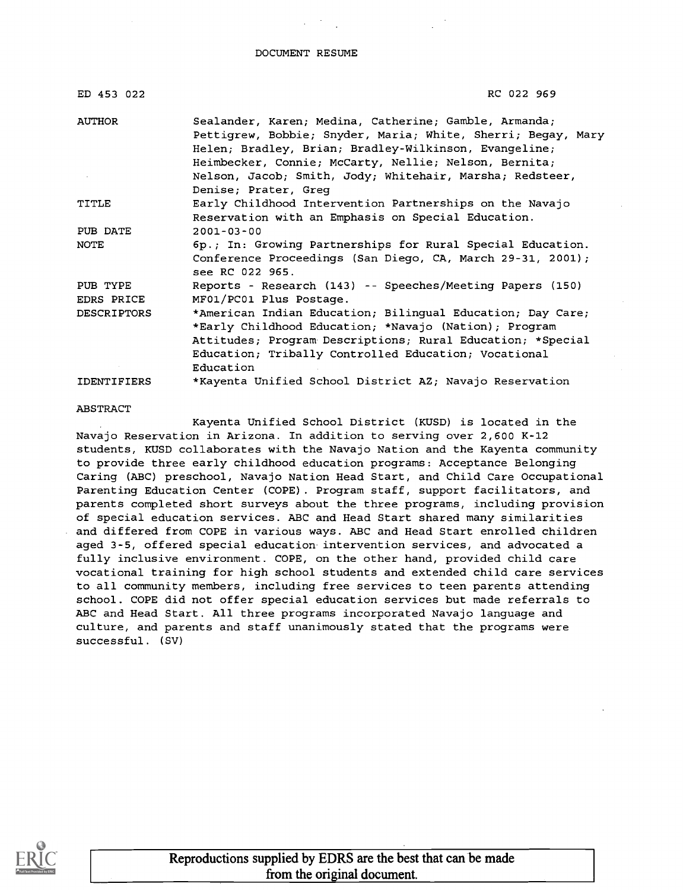DOCUMENT RESUME

| ED 453 022             | RC 022 969                                                                                                                                                                                                                                                                                                                  |
|------------------------|-----------------------------------------------------------------------------------------------------------------------------------------------------------------------------------------------------------------------------------------------------------------------------------------------------------------------------|
| AUTHOR                 | Sealander, Karen; Medina, Catherine; Gamble, Armanda;<br>Pettigrew, Bobbie; Snyder, Maria; White, Sherri; Begay, Mary<br>Helen; Bradley, Brian; Bradley-Wilkinson, Evangeline;<br>Heimbecker, Connie; McCarty, Nellie; Nelson, Bernita;<br>Nelson, Jacob; Smith, Jody; Whitehair, Marsha; Redsteer,<br>Denise; Prater, Greq |
| TITLE                  | Early Childhood Intervention Partnerships on the Navajo<br>Reservation with an Emphasis on Special Education.                                                                                                                                                                                                               |
| PUB DATE               | $2001 - 03 - 00$                                                                                                                                                                                                                                                                                                            |
| NOTE                   | 6p.; In: Growing Partnerships for Rural Special Education.<br>Conference Proceedings (San Diego, CA, March 29-31, 2001);<br>see RC 022 965.                                                                                                                                                                                 |
| PUB TYPE<br>EDRS PRICE | Reports - Research (143) -- Speeches/Meeting Papers (150)<br>MF01/PC01 Plus Postage.                                                                                                                                                                                                                                        |
| <b>DESCRIPTORS</b>     | *American Indian Education; Bilingual Education; Day Care;<br>*Early Childhood Education; *Navajo (Nation); Program<br>Attitudes; Program Descriptions; Rural Education; *Special<br>Education; Tribally Controlled Education; Vocational<br>Education                                                                      |
| <b>IDENTIFIERS</b>     | *Kayenta Unified School District AZ; Navajo Reservation                                                                                                                                                                                                                                                                     |

#### ABSTRACT

Kayenta Unified School District (KUSD) is located in the Navajo Reservation in Arizona. In addition to serving over 2,600 K-12 students, KUSD collaborates with the Navajo Nation and the Kayenta community to provide three early childhood education programs: Acceptance Belonging Caring (ABC) preschool, Navajo Nation Head Start, and Child Care Occupational Parenting Education Center (COPE). Program staff, support facilitators, and parents completed short surveys about the three programs, including provision of special education services. ABC and Head Start shared many similarities and differed from COPE in various ways. ABC and Head Start enrolled children aged 3-5, offered special education intervention services, and advocated a fully inclusive environment. COPE, on the other hand, provided child care vocational training for high school students and extended child care services to all community members, including free services to teen parents attending school. COPE did not offer special education services but made referrals to ABC and Head Start. All three programs incorporated Navajo language and culture, and parents and staff unanimously stated that the programs were successful. (SV)

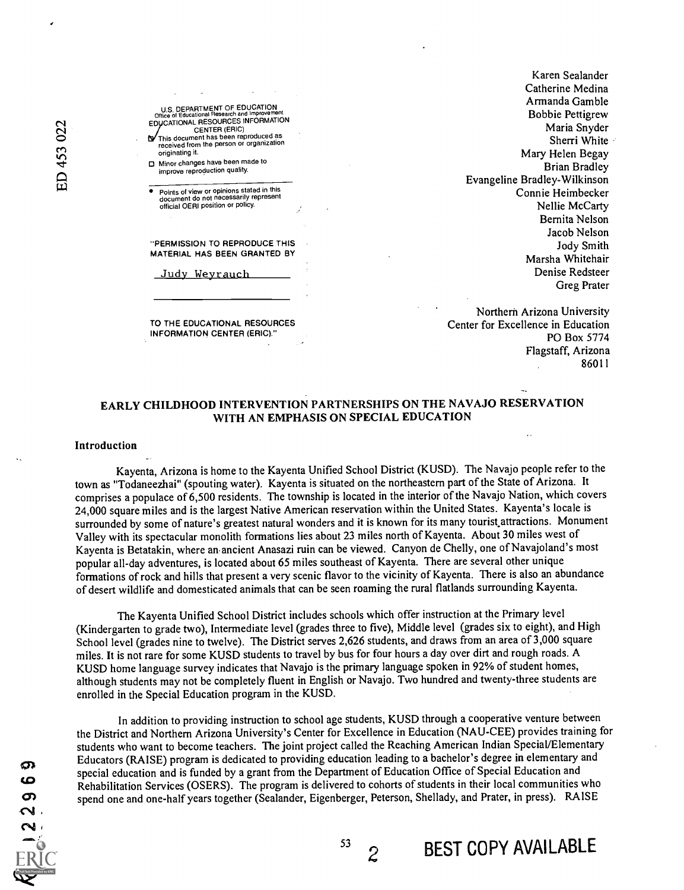

TO THE EDUCATIONAL RESOURCES INFORMATION CENTER (ERIC)."

Karen Sealander Catherine Medina Armanda Gamble Bobbie Pettigrew Maria Snyder Sherri White Mary Helen Begay Brian Bradley Evangeline Bradley-Wilkinson Connie Heimbecker Nellie McCarty Bemita Nelson Jacob Nelson Jody Smith Marsha Whitehair Denise Redsteer Greg Prater

Northern Arizona University Center for Excellence in Education PO Box 5774 Flagstaff, Arizona 86011

### EARLY CHILDHOOD INTERVENTION PARTNERSHIPS ON THE NAVAJO RESERVATION WITH AN EMPHASIS ON SPECIAL EDUCATION

#### Introduction

Kayenta, Arizona is home to the Kayenta Unified School District (KUSD). The Navajo people refer to the town as "Todaneezhai" (spouting water). Kayenta is situated on the northeastern part of the State of Arizona. It comprises a populace of 6,500 residents. The township is located in the interior of the Navajo Nation, which covers 24,000 square miles and is the largest Native American reservation within the United States. Kayenta's locale is surrounded by some of nature's greatest natural wonders and it is known for its many tourist attractions. Monument Valley with its spectacular monolith formations lies about 23 miles north of Kayenta. About 30 miles west of Kayenta is Betatakin, where an-ancient Anasazi ruin can be viewed. Canyon de Chelly, one of Navajoland's most popular all-day adventures, is located about 65 miles southeast of Kayenta. There are several other unique formations of rock and hills that present a very scenic flavor to the vicinity of Kayenta. There is also an abundance of desert wildlife and domesticated animals that can be seen roaming the rural flatlands surrounding Kayenta.

The Kayenta Unified School District includes schools which offer instruction at the Primary level (Kindergarten to grade two), Intermediate level (grades three to five), Middle level (grades six to eight), and High School level (grades nine to twelve). The District serves 2,626 students, and draws from an area of 3,000 square miles. It is not rare for some KUSD students to travel by bus for four hours a day over dirt and rough roads. A KUSD home language survey indicates that Navajo is the primary language spoken in 92% of student homes, although students may not be completely fluent in English or Navajo. Two hundred and twenty-three students are enrolled in the Special Education program in the KUSD.

In addition to providing instruction to school age students, KUSD through a cooperative venture between the District and Northern Arizona University's Center for Excellence in Education (NAU-CEE) provides training for students who want to become teachers. The joint project called the Reaching American Indian SpeciaUElementary Educators (RAISE) program is dedicated to providing education leading to a bachelor's degree in elementary and special education and is funded by a grant from the Department of Education Office of Special Education and Rehabilitation Services (OSERS). The program is delivered to cohorts of students in their local communities who spend one and one-half years together (Sealander, Eigenberger, Peterson, Shellady, and Prater, in press). RAISE

 $2$  BEST COPY AVAILABLE

ന ဖ  $\sigma$ S.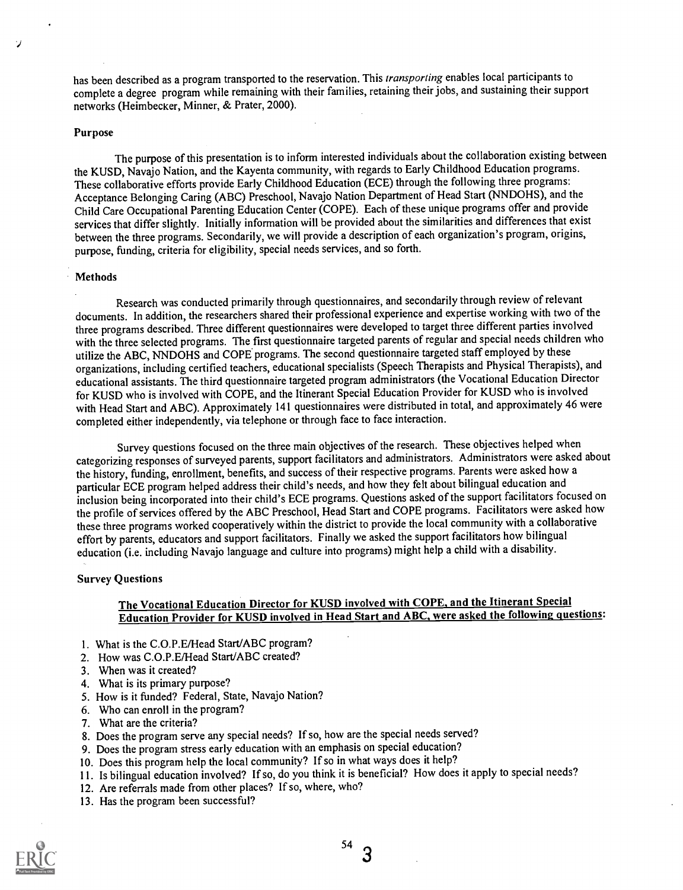has been described as a program transported to the reservation. This transporting enables local participants to complete a degree program while remaining with their families, retaining their jobs, and sustaining their support networks (Heimbecker, Minner, & Prater, 2000).

#### Purpose

 $\cdot$ 

The purpose of this presentation is to inform interested individuals about the collaboration existing between the KUSD, Navajo Nation, and the Kayenta community, with regards to Early Childhood Education programs. These collaborative efforts provide Early Childhood Education (ECE) through the following three programs: Acceptance Belonging Caring (ABC) Preschool, Navajo Nation Department of Head Start (NNDOHS), and the Child Care Occupational Parenting Education Center (COPE). Each of these unique programs offer and provide services that differ slightly. Initially information will be provided about the similarities and differences that exist between the three programs. Secondarily, we will provide a description of each organization's program, origins, purpose, funding, criteria for eligibility, special needs services, and so forth.

#### **Methods**

Research was conducted primarily through questionnaires, and secondarily through review of relevant documents. In addition, the researchers shared their professional experience and expertise working with two of the three programs described. Three different questionnaires were developed to target three different parties involved with the three selected programs. The first questionnaire targeted parents of regular and special needs children who utilize the ABC, NNDOHS and COPE programs. The second questionnaire targeted staff employed by these organizations, including certified teachers, educational specialists (Speech Therapists and Physical Therapists), and educational assistants. The third questionnaire targeted program administrators (the Vocational Education Director for KUSD who is involved with COPE, and the Itinerant Special Education Provider for KUSD who is involved with Head Start and ABC). Approximately 141 questionnaires were distributed in total, and approximately 46 were completed either independently, via telephone or through face to face interaction.

Survey questions focused on the three main objectives of the research. These objectives helped when categorizing responses of surveyed parents, support facilitators and administrators. Administrators were asked about the history, funding, enrollment, benefits, and success of their respective programs. Parents were asked how a particular ECE program helped address their child's needs, and how they felt about bilingual education and inclusion being incorporated into their child's ECE programs. Questions asked of the support facilitators focused on the profile of services offered by the ABC Preschool, Head Start and COPE programs. Facilitators were asked how these three programs worked cooperatively within the district to provide the local community with a collaborative effort by parents, educators and support facilitators. Finally we asked the support facilitators how bilingual education (i.e. including Navajo language and culture into programs) might help a child with a disability.

#### Survey Questions

## The Vocational Education Director for KUSD involved with COPE, and the Itinerant Special Education Provider for KUSD involved in Head Start and ABC, were asked the following questions:

- 1. What is the C.O.P.E/Head Start/ABC program?
- 2. How was C.O.P.E/Head Start/ABC created?
- 3. When was it created?
- 4. What is its primary purpose?
- 5. How is it funded? Federal, State, Navajo Nation?
- 6. Who can enroll in the program?
- 7. What are the criteria?
- 8. Does the program serve any special needs? If so, how are the special needs served?
- 9. Does the program stress early education with an emphasis on special education?
- 10. Does this program help the local community? If so in what ways does it help?
- 11. Is bilingual education involved? If so, do you think it is beneficial? How does it apply to special needs?
- 12. Are referrals made from other places? If so, where, who?
- 13. Has the program been successful?



54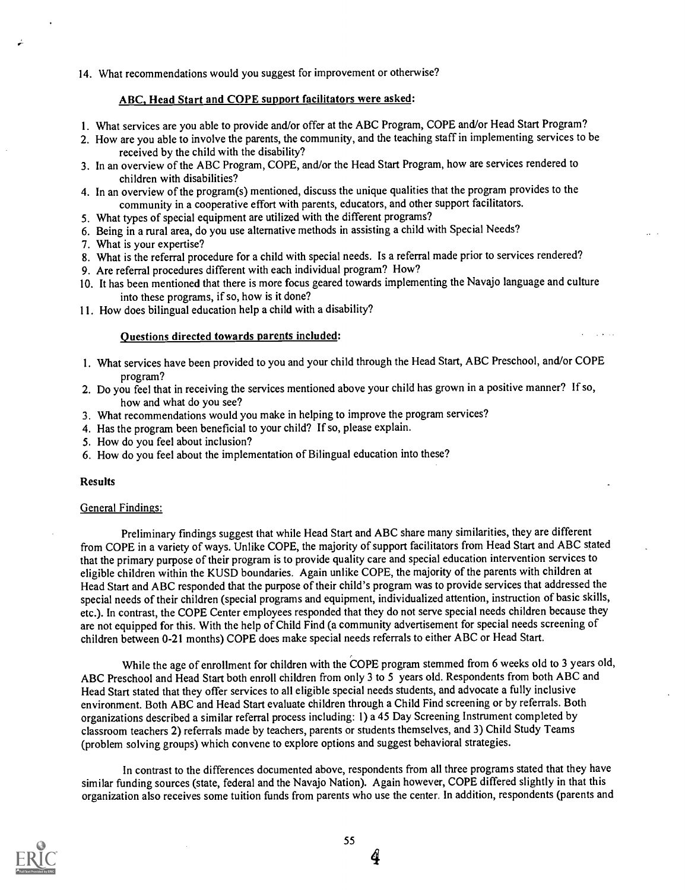### 14. What recommendations would you suggest for improvement or otherwise?

## ABC, Head Start and COPE support facilitators were asked:

- 1. What services are you able to provide and/or offer at the ABC Program, COPE and/or Head Start Program?
- 2. How are you able to involve the parents, the community, and the teaching staff in implementing services to be received by the child with the disability?
- 3. In an overview of the ABC Program, COPE, and/or the Head Start Program, how are services rendered to children with disabilities?
- 4. In an overview of the program(s) mentioned, discuss the unique qualities that the program provides to the community in a cooperative effort with parents, educators, and other support facilitators.
- 5. What types of special equipment are utilized with the different programs?
- 6. Being in a rural area, do you use alternative methods in assisting a child with Special Needs?
- 7. What is your expertise?
- 8. What is the referral procedure for a child with special needs. Is a referral made prior to services rendered?
- 9. Are referral procedures different with each individual program? How?
- 10. It has been mentioned that there is more focus geared towards implementing the Navajo language and culture into these programs, if so, how is it done?
- 11. How does bilingual education help a child with a disability?

#### Questions directed towards parents included:

- 1. What services have been provided to you and your child through the Head Start, ABC Preschool, and/or COPE program?
- 2. Do you feel that in receiving the services mentioned above your child has grown in a positive manner? If so, how and what do you see?
- 3. What recommendations would you make in helping to improve the program services?
- 4. Has the program been beneficial to your child? If so, please explain.
- 5. How do you feel about inclusion?
- 6. How do you feel about the implementation of Bilingual education into these?

#### Results

#### General Findings:

Preliminary findings suggest that while Head Start and ABC share many similarities, they are different from COPE in a variety of ways. Unlike COPE, the majority of support facilitators from Head Start and ABC stated that the primary purpose of their program is to provide quality care and special education intervention services to eligible children within the KUSD boundaries. Again unlike COPE, the majority of the parents with children at Head Start and ABC responded that the purpose of their child's program was to provide services that addressed the special needs of their children (special programs and equipment, individualized attention, instruction of basic skills, etc.). In contrast, the COPE Center employees responded that they do not serve special needs children because they are not equipped for this. With the help of Child Find (a community advertisement for special needs screening of children between 0-21 months) COPE does make special needs referrals to either ABC or Head Start.

While the age of enrollment for children with the COPE program stemmed from 6 weeks old to 3 years old, ABC Preschool and Head Start both enroll children from only 3 to 5 years old. Respondents from both ABC and Head Start stated that they offer services to all eligible special needs students, and advocate a fully inclusive environment. Both ABC and Head Start evaluate children through a Child Find screening or by referrals. Both organizations described a similar referral process including: 1) a 45 Day Screening Instrument completed by classroom teachers 2) referrals made by teachers, parents or students themselves, and 3) Child Study Teams (problem solving groups) which convene to explore options and suggest behavioral strategies.

In contrast to the differences documented above, respondents from all three programs stated that they have similar funding sources (state, federal and the Navajo Nation). Again however, COPE differed slightly in that this organization also receives some tuition funds from parents who use the center. In addition, respondents (parents and



4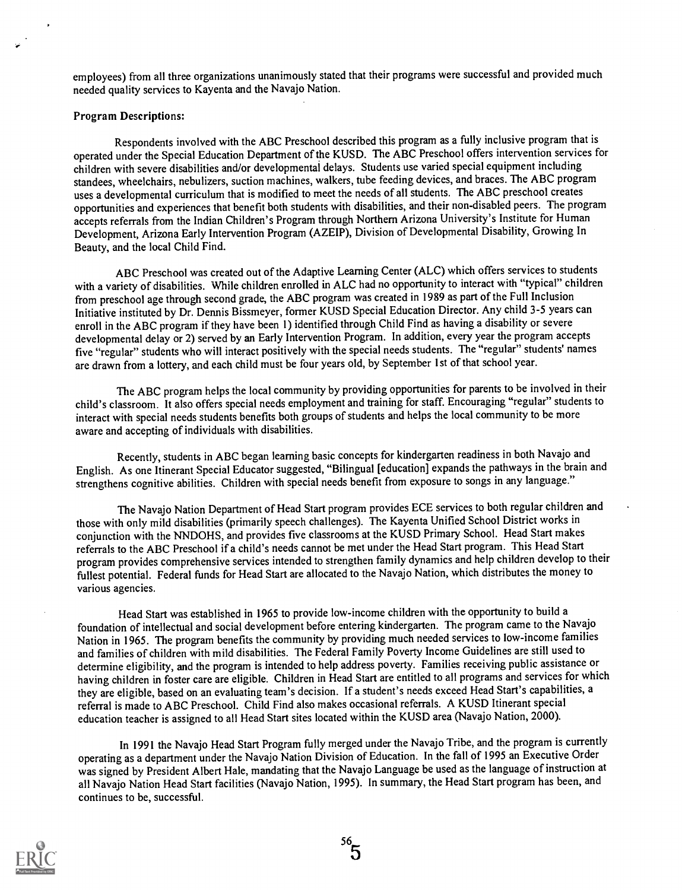employees) from all three organizations unanimously stated that their programs were successful and provided much needed quality services to Kayenta and the Navajo Nation.

#### Program Descriptions:

Respondents involved with the ABC Preschool described this program as a fully inclusive program that is operated under the Special Education Department of the KUSD. The ABC Preschool offers interventionservices for children with severe disabilities and/or developmental delays. Students use varied special equipment including standees, wheelchairs, nebulizers, suction machines, walkers, tube feeding devices, and braces. The ABC program uses a developmental curriculum that is modified to meet the needs of all students. The ABC preschool creates opportunities and experiences that benefit both students with disabilities, and their non-disabled peers. The program accepts referrals from the Indian Children's Program through Northern Arizona University's Institute for Human Development, Arizona Early Intervention Program (AZEIP), Division of Developmental Disability, Growing In Beauty, and the local Child Find.

ABC Preschool was created out of the Adaptive Learning Center (ALC) which offers services to students with a variety of disabilities. While children enrolled in ALC had no opportunity to interact with "typical" children from preschool age through second grade, the ABC program was created in 1989 as part of the Full Inclusion Initiative instituted by Dr. Dennis Bissmeyer, former KUSD Special Education Director. Any child 3-5 years can enroll in the ABC program if they have been 1) identified through Child Find as having a disability or severe developmental delay or 2) served by an Early Intervention Program. In addition, every year the program accepts five "regular" students who will interact positively with the special needs students. The "regular" students' names are drawn from a lottery, and each child must be four years old, by September 1st of that school year.

The ABC program helps the local community by providing opportunities for parents to be involved in their child's classroom. It also offers special needs employment and training for staff. Encouraging "regular" students to interact with special needs students benefits both groups of students and helps the local community to be more aware and accepting of individuals with disabilities.

Recently, students in ABC began learning basic concepts for kindergarten readiness in both Navajo and English. As one Itinerant Special Educator suggested, "Bilingual [education] expands the pathways in the brain and strengthens cognitive abilities. Children with special needs benefit from exposure to songs in any language."

The Navajo Nation Department of Head Start program provides ECE services to both regular children and those with only mild disabilities (primarily speech challenges). The Kayenta Unified School District works in conjunction with the NNDOHS, and provides five classrooms at the KUSD Primary School. Head Start makes referrals to the ABC Preschool if a child's needs cannot be met under the Head Start program. This Head Start program provides comprehensive services intended to strengthen family dynamics and help children develop to their fullest potential. Federal funds for Head Start are allocated to the Navajo Nation, which distributes the money to various agencies.

Head Start was established in 1965 to provide low-income children with the opportunity to build a foundation of intellectual and social development before entering kindergarten. The program came to the Navajo Nation in 1965. The program benefits the community by providing much needed services to low-income families and families of children with mild disabilities. The Federal Family Poverty Income Guidelines are still used to determine eligibility, and the program is intended to help address poverty. Families receiving public assistance or having children in foster care are eligible. Children in Head Start are entitled to all programs and services for which they are eligible, based on an evaluating team's decision. If a student's needs exceed Head Start's capabilities, a referral is made to ABC Preschool. Child Find also makes occasional referrals. A KUSD Itinerant special education teacher is assigned to all Head Start sites located within the KUSD area (Navajo Nation, 2000).

In 1991 the Navajo Head Start Program fully merged under the Navajo Tribe, and the program is currently operating as a department under the Navajo Nation Division of Education. In the fall of 1995 an Executive Order was signed by President Albert Hale, mandating that the Navajo Language be used as the language of instruction at all Navajo Nation Head Start facilities (Navajo Nation, 1995). In summary, the Head Start program has been, and continues to be, successful.

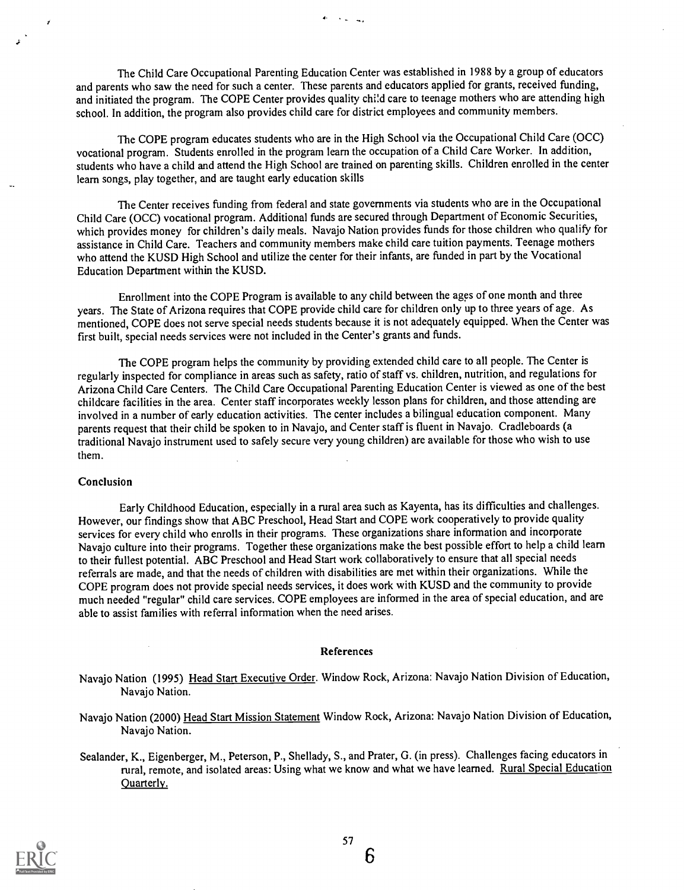The Child Care Occupational Parenting Education Center was established in 1988 by a group of educators and parents who saw the need for such a center. These parents and educators applied for grants, received funding, and initiated the program. The COPE Center provides quality child care to teenage mothers who are attending high school. In addition, the program also provides child care for district employees and community members.

ويتراتب أوال

The COPE program educates students who are in the High School via the Occupational Child Care (OCC) vocational program. Students enrolled in the program learn the occupation of a Child Care Worker. In addition, students who have a child and attend the High School are trained on parenting skills. Children enrolled in the center learn songs, play together, and are taught early education skills

The Center receives funding from federal and state governments via students who are in the Occupational Child Care (OCC) vocational program. Additional funds are secured through Department of Economic Securities, which provides money for children's daily meals. Navajo Nation provides funds for those children who qualify for assistance in Child Care. Teachers and community members make child care tuition payments. Teenage mothers who attend the KUSD High School and utilize the center for their infants, are funded in part by the Vocational Education Department within the KUSD.

Enrollment into the COPE Program is available to any child between the ages of one month and three years. The State of Arizona requires that COPE provide child care for children only up to three years of age. As mentioned, COPE does not serve special needs students because it is not adequately equipped. When the Center was first built, special needs services were not included in the Center's grants and funds.

The COPE program helps the community by providing extended child care to all people. The Center is regularly inspected for compliance in areas such as safety, ratio of staff vs. children, nutrition, and regulations for Arizona Child Care Centers. The Child Care Occupational Parenting Education Center is viewed as one of the best childcare facilities in the area. Center staff incorporates weekly lesson plans for children, and those attending are involved in a number of early education activities. The center includes a bilingual education component. Many parents request that their child be spoken to in Navajo, and Center staff is fluent in Navajo. Cradleboards (a traditional Navajo instrument used to safely secure very young children) are available for those who wish to use them.

#### Conclusion

Early Childhood Education, especially in a rural area such as Kayenta, has its difficulties and challenges. However, our findings show that ABC Preschool, Head Start and COPE work cooperatively to provide quality services for every child who enrolls in their programs. These organizations share information and incorporate Navajo culture into their programs. Together these organizations make the best possible effort to help a child learn to their fullest potential. ABC Preschool and Head Start work collaboratively to ensure that all special needs referrals are made, and that the needs of children with disabilities are met within their organizations. While the COPE program does not provide special needs services, it does work with KUSD and the community to provide much needed "regular" child care services. COPE employees are informed in the area of special education, and are able to assist families with referral information when the need arises.

#### References

Navajo Nation (1995) Head Start Executive Order. Window Rock, Arizona: Navajo Nation Division of Education, Navajo Nation.

Navajo Nation (2000) Head Start Mission Statement Window Rock, Arizona: Navajo Nation Division of Education, Navajo Nation.

Sealander, K., Eigenberger, M., Peterson, P., Shellady, S., and Prater, G. (in press). Challenges facing educators in rural, remote, and isolated areas: Using what we know and what we have learned. Rural Special Education Quarterly.



6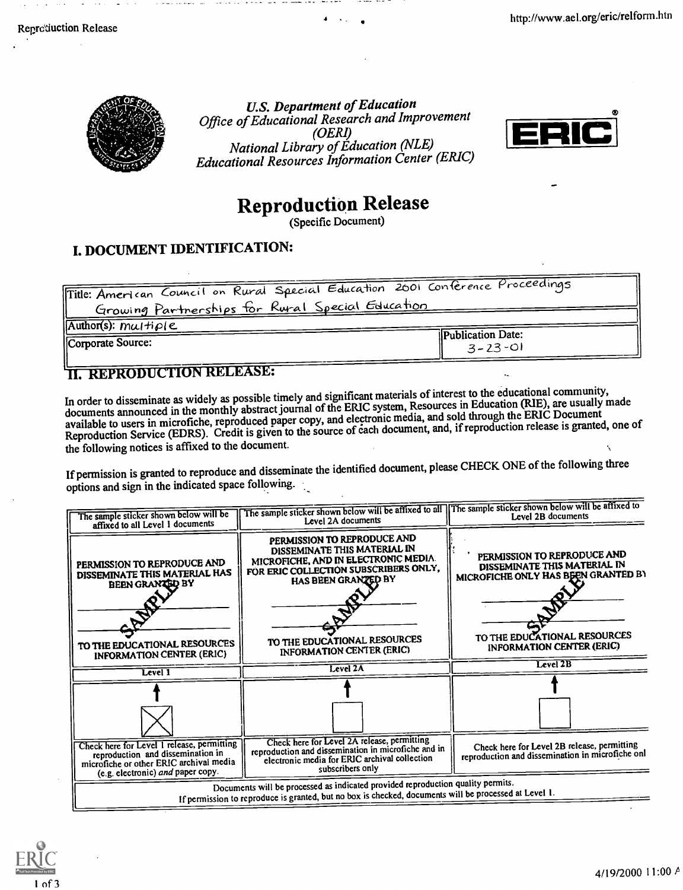

U.S. Department of Education Office of Educational Research and Improvement (OERI) National Library of Education (NLE) Educational Resources Information Center (ERIC)



# Reproduction Release

(Specific Document)

# I. DOCUMENT IDENTIFICATION:

| Title: American Council on Rural Special Education 2001 Conference Proceedings |                                           |
|--------------------------------------------------------------------------------|-------------------------------------------|
| Growing Partnerships for Rural Special Education                               |                                           |
| $[Author(s): mu \rightarrow \rho(e)]$                                          |                                           |
| Corporate Source:                                                              | <b>Publication Date:</b><br>$3 - 23 - 01$ |
|                                                                                |                                           |

# **II. REPRODUCTION RELEASE:**

In order to disseminate as widely as possible timely and significant materials of interest to the educational community, In order to disseminate as widely as possible through and segments. Resources in Education (RIE), are usually made<br>documents announced in the monthly abstract journal of the ERIC system, Resources in Education (RIE), are u documents announced in the monthly abstract journal of the detectronic media, and sold through the ERIC Document<br>available to users in microfiche, reproduced paper copy, and electronic media, and sold through the ERIC Docu the following notices is affixed to the document.

If permission is granted to reproduce and disseminate the identified document, please CHECK ONE of the following three options and sign in the indicated space following.

| The sample sticker shown below will be<br>affixed to all Level 1 documents                                                                                                               | The sample sticker shown below will be affixed to all   The sample sticker shown below will be affixed to<br>Level 2A documents                                                                                                  | Level 2B documents                                                                                                                                                     |  |
|------------------------------------------------------------------------------------------------------------------------------------------------------------------------------------------|----------------------------------------------------------------------------------------------------------------------------------------------------------------------------------------------------------------------------------|------------------------------------------------------------------------------------------------------------------------------------------------------------------------|--|
| PERMISSION TO REPRODUCE AND<br>DISSEMINATE THIS MATERIAL HAS<br><b>BEEN GRANGED BY</b><br>TO THE EDUCATIONAL RESOURCES                                                                   | PERMISSION TO REPRODUCE AND<br>DISSEMINATE THIS MATERIAL IN<br>MICROFICHE, AND IN ELECTRONIC MEDIA.<br>FOR ERIC COLLECTION SUBSCRIBERS ONLY,<br>HAS BEEN GRANZED BY<br>TO THE EDUCATIONAL RESOURCES<br>INFORMATION CENTER (ERIC) | PERMISSION TO REPRODUCE AND<br>DISSEMINATE THIS MATERIAL IN<br>MICROFICHE ONLY HAS BEEN GRANTED BY<br>TO THE EDUCATIONAL RESOURCES<br><b>INFORMATION CENTER (ERIC)</b> |  |
| INFORMATION CENTER (ERIC)<br>Level $1$                                                                                                                                                   | Level 2A                                                                                                                                                                                                                         | Level 2B                                                                                                                                                               |  |
|                                                                                                                                                                                          |                                                                                                                                                                                                                                  |                                                                                                                                                                        |  |
|                                                                                                                                                                                          |                                                                                                                                                                                                                                  |                                                                                                                                                                        |  |
| Check here for Level 1 release, permitting<br>reproduction and dissemination in<br>microfiche or other ERIC archival media<br>(e.g. electronic) and paper copy.                          | Check here for Level 2A release, permitting<br>reproduction and dissemination in microfiche and in<br>electronic media for ERIC archival collection<br>subscribers only                                                          | Check here for Level 2B release, permitting<br>reproduction and dissemination in microfiche onl                                                                        |  |
| Documents will be processed as indicated provided reproduction quality permits.<br>If permission to reproduce is granted, but no box is checked, documents will be processed at Level 1. |                                                                                                                                                                                                                                  |                                                                                                                                                                        |  |